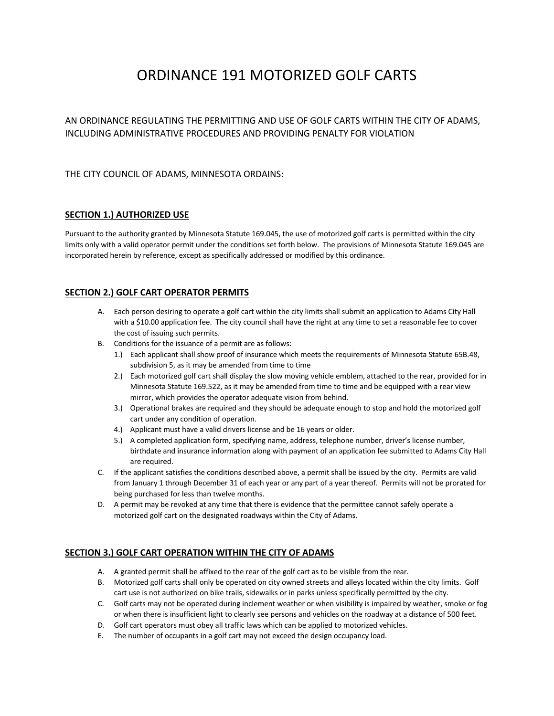# ORDINANCE 191 MOTORIZED GOLF CARTS

AN ORDINANCE REGULATING THE PERMITTING AND USE OF GOLF CARTS WITHIN THE CITY OF ADAMS, INCLUDING ADMINISTRATIVE PROCEDURES AND PROVIDING PENALTY FOR VIOLATION

## THE CITY COUNCIL OF ADAMS, MINNESOTA ORDAINS:

## **SECTION 1.) AUTHORIZED USE**

Pursuant to the authority granted by Minnesota Statute 169.045, the use of motorized golf carts is permitted within the city limits only with a valid operator permit under the conditions set forth below. The provisions of Minnesota Statute 169.045 are incorporated herein by reference, except as specifically addressed or modified by this ordinance.

# **SECTION 2.) GOLF CART OPERATOR PERMITS**

- A. Each person desiring to operate a golf cart within the city limits shall submit an application to Adams City Hall with a \$10.00 application fee. The city council shall have the right at any time to set a reasonable fee to cover the cost of issuing such permits.
- B. Conditions for the issuance of a permit are as follows:
	- 1.) Each applicant shall show proof of insurance which meets the requirements of Minnesota Statute 65B.48, subdivision 5, as it may be amended from time to time
	- 2.) Each motorized golf cart shall display the slow moving vehicle emblem, attached to the rear, provided for in Minnesota Statute 169.522, as it may be amended from time to time and be equipped with a rear view mirror, which provides the operator adequate vision from behind.
	- 3.) Operational brakes are required and they should be adequate enough to stop and hold the motorized golf cart under any condition of operation.
	- 4.) Applicant must have a valid drivers license and be 16 years or older.
	- 5.) A completed application form, specifying name, address, telephone number, driver's license number, birthdate and insurance information along with payment of an application fee submitted to Adams City Hall are required.
- C. If the applicant satisfies the conditions described above, a permit shall be issued by the city. Permits are valid from January 1 through December 31 of each year or any part of a year thereof. Permits will not be prorated for being purchased for less than twelve months.
- D. A permit may be revoked at any time that there is evidence that the permittee cannot safely operate a motorized golf cart on the designated roadways within the City of Adams.

#### **SECTION 3.) GOLF CART OPERATION WITHIN THE CITY OF ADAMS**

- A. A granted permit shall be affixed to the rear of the golf cart as to be visible from the rear.
- B. Motorized golf carts shall only be operated on city owned streets and alleys located within the city limits. Golf cart use is not authorized on bike trails, sidewalks or in parks unless specifically permitted by the city.
- C. Golf carts may not be operated during inclement weather or when visibility is impaired by weather, smoke or fog or when there is insufficient light to clearly see persons and vehicles on the roadway at a distance of 500 feet.
- D. Golf cart operators must obey all traffic laws which can be applied to motorized vehicles.
- E. The number of occupants in a golf cart may not exceed the design occupancy load.